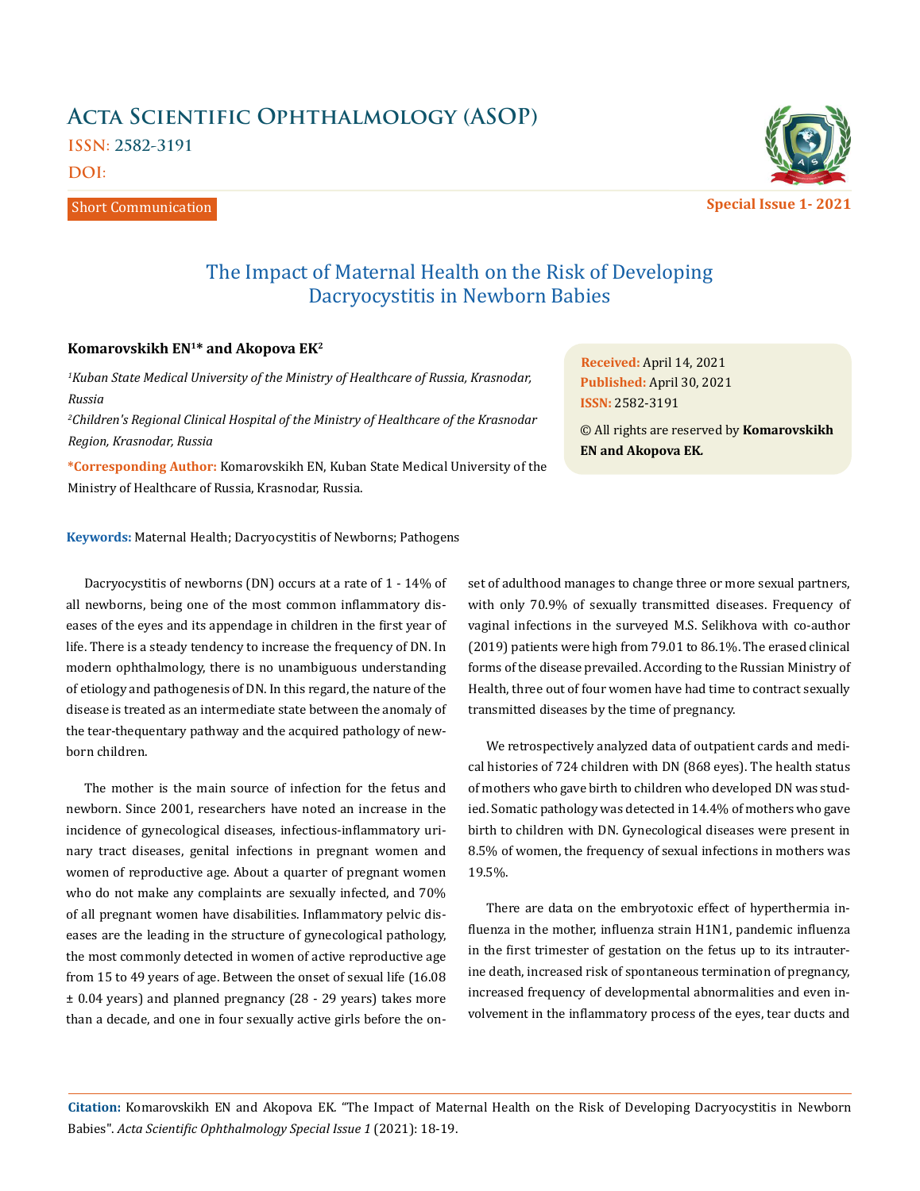## **Acta Scientific Ophthalmology (ASOP) ISSN: 2582-3191**

**DOI:** 

Short Communication



**Special Issue 1- 2021**

## The Impact of Maternal Health on the Risk of Developing Dacryocystitis in Newborn Babies

## **Komarovskikh EN1\* and Akopova EK2**

*1 Kuban State Medical University of the Ministry of Healthcare of Russia, Krasnodar, Russia*

*2 Children's Regional Clinical Hospital of the Ministry of Healthcare of the Krasnodar Region, Krasnodar, Russia*

**\*Corresponding Author:** Komarovskikh EN, Kuban State Medical University of the Ministry of Healthcare of Russia, Krasnodar, Russia.

**Keywords:** Maternal Health; Dacryocystitis of Newborns; Pathogens

Dacryocystitis of newborns (DN) occurs at a rate of 1 - 14% of all newborns, being one of the most common inflammatory diseases of the eyes and its appendage in children in the first year of life. There is a steady tendency to increase the frequency of DN. In modern ophthalmology, there is no unambiguous understanding of etiology and pathogenesis of DN. In this regard, the nature of the disease is treated as an intermediate state between the anomaly of the tear-thequentary pathway and the acquired pathology of newborn children.

The mother is the main source of infection for the fetus and newborn. Since 2001, researchers have noted an increase in the incidence of gynecological diseases, infectious-inflammatory urinary tract diseases, genital infections in pregnant women and women of reproductive age. About a quarter of pregnant women who do not make any complaints are sexually infected, and 70% of all pregnant women have disabilities. Inflammatory pelvic diseases are the leading in the structure of gynecological pathology, the most commonly detected in women of active reproductive age from 15 to 49 years of age. Between the onset of sexual life (16.08 ± 0.04 years) and planned pregnancy (28 - 29 years) takes more than a decade, and one in four sexually active girls before the onset of adulthood manages to change three or more sexual partners, with only 70.9% of sexually transmitted diseases. Frequency of vaginal infections in the surveyed M.S. Selikhova with co-author (2019) patients were high from 79.01 to 86.1%. The erased clinical forms of the disease prevailed. According to the Russian Ministry of Health, three out of four women have had time to contract sexually transmitted diseases by the time of pregnancy.

**Received:** April 14, 2021 **Published:** April 30, 2021

**EN and Akopova EK***.*

**ISSN:** 2582-3191

© All rights are reserved by **Komarovskikh** 

We retrospectively analyzed data of outpatient cards and medical histories of 724 children with DN (868 eyes). The health status of mothers who gave birth to children who developed DN was studied. Somatic pathology was detected in 14.4% of mothers who gave birth to children with DN. Gynecological diseases were present in 8.5% of women, the frequency of sexual infections in mothers was 19.5%.

There are data on the embryotoxic effect of hyperthermia influenza in the mother, influenza strain H1N1, pandemic influenza in the first trimester of gestation on the fetus up to its intrauterine death, increased risk of spontaneous termination of pregnancy, increased frequency of developmental abnormalities and even involvement in the inflammatory process of the eyes, tear ducts and

**Citation:** Komarovskikh EN and Akopova EK*.* "The Impact of Maternal Health on the Risk of Developing Dacryocystitis in Newborn Babies". *Acta Scientific Ophthalmology Special Issue 1* (2021): 18-19.